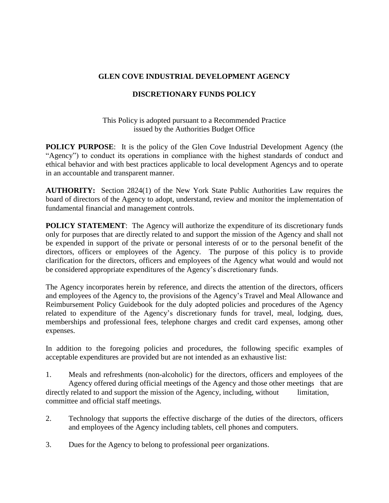## **GLEN COVE INDUSTRIAL DEVELOPMENT AGENCY**

## **DISCRETIONARY FUNDS POLICY**

This Policy is adopted pursuant to a Recommended Practice issued by the Authorities Budget Office

**POLICY PURPOSE:** It is the policy of the Glen Cove Industrial Development Agency (the "Agency") to conduct its operations in compliance with the highest standards of conduct and ethical behavior and with best practices applicable to local development Agencys and to operate in an accountable and transparent manner.

**AUTHORITY:** Section 2824(1) of the New York State Public Authorities Law requires the board of directors of the Agency to adopt, understand, review and monitor the implementation of fundamental financial and management controls.

**POLICY STATEMENT:** The Agency will authorize the expenditure of its discretionary funds only for purposes that are directly related to and support the mission of the Agency and shall not be expended in support of the private or personal interests of or to the personal benefit of the directors, officers or employees of the Agency. The purpose of this policy is to provide clarification for the directors, officers and employees of the Agency what would and would not be considered appropriate expenditures of the Agency's discretionary funds.

The Agency incorporates herein by reference, and directs the attention of the directors, officers and employees of the Agency to, the provisions of the Agency's Travel and Meal Allowance and Reimbursement Policy Guidebook for the duly adopted policies and procedures of the Agency related to expenditure of the Agency's discretionary funds for travel, meal, lodging, dues, memberships and professional fees, telephone charges and credit card expenses, among other expenses.

In addition to the foregoing policies and procedures, the following specific examples of acceptable expenditures are provided but are not intended as an exhaustive list:

- 1. Meals and refreshments (non-alcoholic) for the directors, officers and employees of the Agency offered during official meetings of the Agency and those other meetings that are directly related to and support the mission of the Agency, including, without limitation, committee and official staff meetings.
- 2. Technology that supports the effective discharge of the duties of the directors, officers and employees of the Agency including tablets, cell phones and computers.
- 3. Dues for the Agency to belong to professional peer organizations.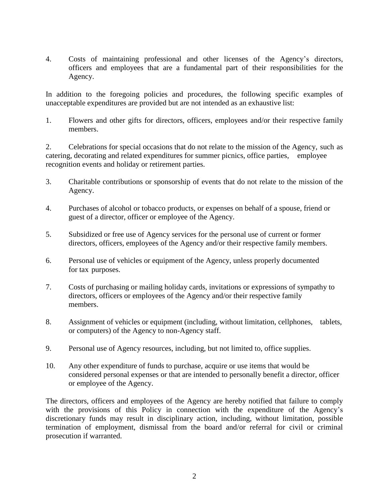4. Costs of maintaining professional and other licenses of the Agency's directors, officers and employees that are a fundamental part of their responsibilities for the Agency.

In addition to the foregoing policies and procedures, the following specific examples of unacceptable expenditures are provided but are not intended as an exhaustive list:

1. Flowers and other gifts for directors, officers, employees and/or their respective family members.

2. Celebrations for special occasions that do not relate to the mission of the Agency, such as catering, decorating and related expenditures for summer picnics, office parties, employee recognition events and holiday or retirement parties.

- 3. Charitable contributions or sponsorship of events that do not relate to the mission of the Agency.
- 4. Purchases of alcohol or tobacco products, or expenses on behalf of a spouse, friend or guest of a director, officer or employee of the Agency.
- 5. Subsidized or free use of Agency services for the personal use of current or former directors, officers, employees of the Agency and/or their respective family members.
- 6. Personal use of vehicles or equipment of the Agency, unless properly documented for tax purposes.
- 7. Costs of purchasing or mailing holiday cards, invitations or expressions of sympathy to directors, officers or employees of the Agency and/or their respective family members.
- 8. Assignment of vehicles or equipment (including, without limitation, cellphones, tablets, or computers) of the Agency to non-Agency staff.
- 9. Personal use of Agency resources, including, but not limited to, office supplies.
- 10. Any other expenditure of funds to purchase, acquire or use items that would be considered personal expenses or that are intended to personally benefit a director, officer or employee of the Agency.

The directors, officers and employees of the Agency are hereby notified that failure to comply with the provisions of this Policy in connection with the expenditure of the Agency's discretionary funds may result in disciplinary action, including, without limitation, possible termination of employment, dismissal from the board and/or referral for civil or criminal prosecution if warranted.